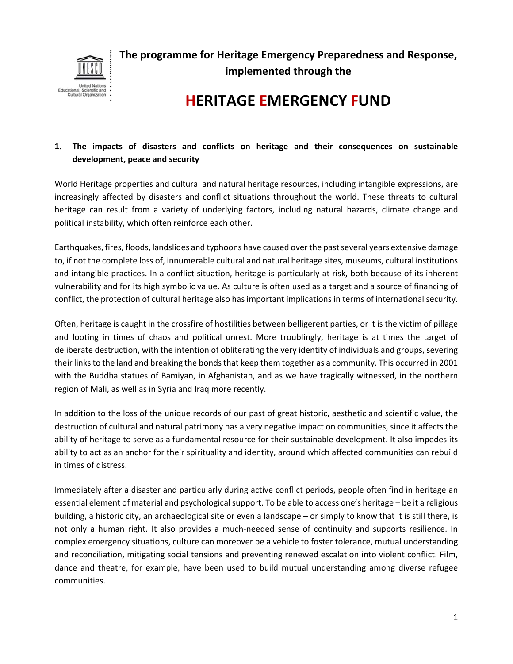

**The programme for Heritage Emergency Preparedness and Response, implemented through the** 

# **HERITAGE EMERGENCY FUND**

# **1. The impacts of disasters and conflicts on heritage and their consequences on sustainable development, peace and security**

World Heritage properties and cultural and natural heritage resources, including intangible expressions, are increasingly affected by disasters and conflict situations throughout the world. These threats to cultural heritage can result from a variety of underlying factors, including natural hazards, climate change and political instability, which often reinforce each other.

Earthquakes, fires, floods, landslides and typhoons have caused over the past several years extensive damage to, if not the complete loss of, innumerable cultural and natural heritage sites, museums, cultural institutions and intangible practices. In a conflict situation, heritage is particularly at risk, both because of its inherent vulnerability and for its high symbolic value. As culture is often used as a target and a source of financing of conflict, the protection of cultural heritage also has important implications in terms of international security.

Often, heritage is caught in the crossfire of hostilities between belligerent parties, or it is the victim of pillage and looting in times of chaos and political unrest. More troublingly, heritage is at times the target of deliberate destruction, with the intention of obliterating the very identity of individuals and groups, severing their links to the land and breaking the bonds that keep them together as a community. This occurred in 2001 with the Buddha statues of Bamiyan, in Afghanistan, and as we have tragically witnessed, in the northern region of Mali, as well as in Syria and Iraq more recently.

In addition to the loss of the unique records of our past of great historic, aesthetic and scientific value, the destruction of cultural and natural patrimony has a very negative impact on communities, since it affects the ability of heritage to serve as a fundamental resource for their sustainable development. It also impedes its ability to act as an anchor for their spirituality and identity, around which affected communities can rebuild in times of distress.

Immediately after a disaster and particularly during active conflict periods, people often find in heritage an essential element of material and psychological support. To be able to access one's heritage – be it a religious building, a historic city, an archaeological site or even a landscape – or simply to know that it is still there, is not only a human right. It also provides a much-needed sense of continuity and supports resilience. In complex emergency situations, culture can moreover be a vehicle to foster tolerance, mutual understanding and reconciliation, mitigating social tensions and preventing renewed escalation into violent conflict. Film, dance and theatre, for example, have been used to build mutual understanding among diverse refugee communities.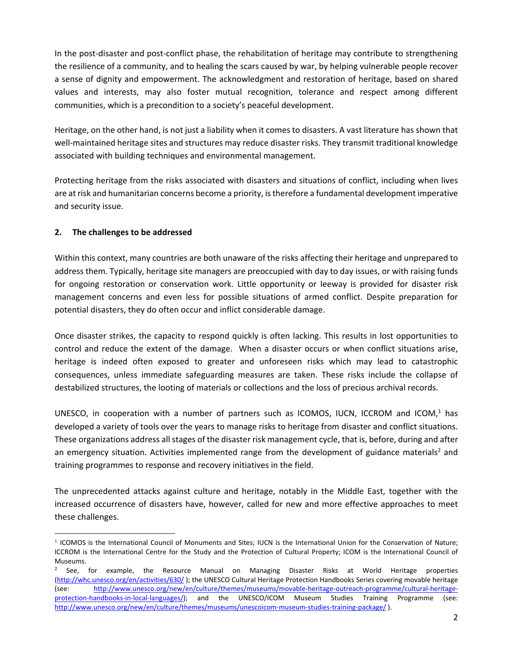In the post‐disaster and post‐conflict phase, the rehabilitation of heritage may contribute to strengthening the resilience of a community, and to healing the scars caused by war, by helping vulnerable people recover a sense of dignity and empowerment. The acknowledgment and restoration of heritage, based on shared values and interests, may also foster mutual recognition, tolerance and respect among different communities, which is a precondition to a society's peaceful development.

Heritage, on the other hand, is not just a liability when it comes to disasters. A vast literature has shown that well-maintained heritage sites and structures may reduce disaster risks. They transmit traditional knowledge associated with building techniques and environmental management.

Protecting heritage from the risks associated with disasters and situations of conflict, including when lives are at risk and humanitarian concerns become a priority, is therefore a fundamental development imperative and security issue.

# **2. The challenges to be addressed**

Within this context, many countries are both unaware of the risks affecting their heritage and unprepared to address them. Typically, heritage site managers are preoccupied with day to day issues, or with raising funds for ongoing restoration or conservation work. Little opportunity or leeway is provided for disaster risk management concerns and even less for possible situations of armed conflict. Despite preparation for potential disasters, they do often occur and inflict considerable damage.

Once disaster strikes, the capacity to respond quickly is often lacking. This results in lost opportunities to control and reduce the extent of the damage. When a disaster occurs or when conflict situations arise, heritage is indeed often exposed to greater and unforeseen risks which may lead to catastrophic consequences, unless immediate safeguarding measures are taken. These risks include the collapse of destabilized structures, the looting of materials or collections and the loss of precious archival records.

UNESCO, in cooperation with a number of partners such as ICOMOS, IUCN, ICCROM and ICOM,<sup>1</sup> has developed a variety of tools over the years to manage risks to heritage from disaster and conflict situations. These organizations address all stages of the disaster risk management cycle, that is, before, during and after an emergency situation. Activities implemented range from the development of guidance materials<sup>2</sup> and training programmes to response and recovery initiatives in the field.

The unprecedented attacks against culture and heritage, notably in the Middle East, together with the increased occurrence of disasters have, however, called for new and more effective approaches to meet these challenges.

<sup>&</sup>lt;sup>1</sup> ICOMOS is the International Council of Monuments and Sites; IUCN is the International Union for the Conservation of Nature; ICCROM is the International Centre for the Study and the Protection of Cultural Property; ICOM is the International Council of Museums.

 $2$  See, for example, the Resource Manual on Managing Disaster Risks at World Heritage properties (http://whc.unesco.org/en/activities/630/ ); the UNESCO Cultural Heritage Protection Handbooks Series covering movable heritage (see: http://www.unesco.org/new/en/culture/themes/museums/movable-heritage-outreach-programme/cultural-heritageprotection-handbooks-in-local-languages/); and the UNESCO/ICOM Museum Studies Training Programme (see: http://www.unesco.org/new/en/culture/themes/museums/unescoicom-museum-studies-training-package/).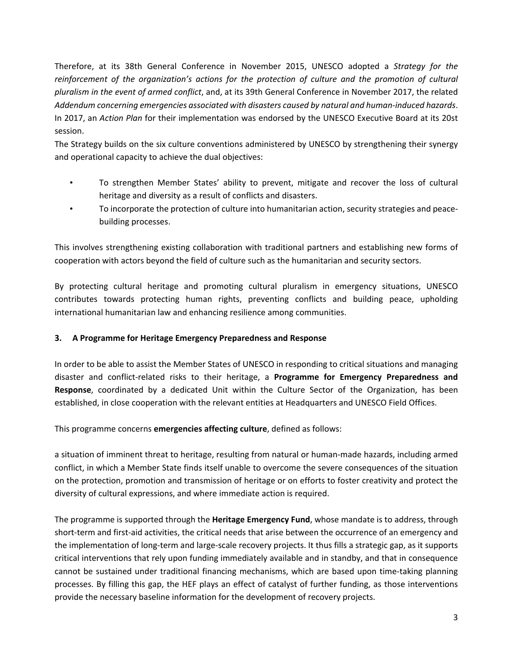Therefore, at its 38th General Conference in November 2015, UNESCO adopted a *Strategy for the reinforcement of the organization's actions for the protection of culture and the promotion of cultural pluralism in the event of armed conflict*, and, at its 39th General Conference in November 2017, the related *Addendum concerning emergencies associated with disasters caused by natural and human‐induced hazards*. In 2017, an *Action Plan* for their implementation was endorsed by the UNESCO Executive Board at its 20st session.

The Strategy builds on the six culture conventions administered by UNESCO by strengthening their synergy and operational capacity to achieve the dual objectives:

- To strengthen Member States' ability to prevent, mitigate and recover the loss of cultural heritage and diversity as a result of conflicts and disasters.
- To incorporate the protection of culture into humanitarian action, security strategies and peacebuilding processes.

This involves strengthening existing collaboration with traditional partners and establishing new forms of cooperation with actors beyond the field of culture such as the humanitarian and security sectors.

By protecting cultural heritage and promoting cultural pluralism in emergency situations, UNESCO contributes towards protecting human rights, preventing conflicts and building peace, upholding international humanitarian law and enhancing resilience among communities.

# **3. A Programme for Heritage Emergency Preparedness and Response**

In order to be able to assist the Member States of UNESCO in responding to critical situations and managing disaster and conflict‐related risks to their heritage, a **Programme for Emergency Preparedness and Response**, coordinated by a dedicated Unit within the Culture Sector of the Organization, has been established, in close cooperation with the relevant entities at Headquarters and UNESCO Field Offices.

This programme concerns **emergencies affecting culture**, defined as follows:

a situation of imminent threat to heritage, resulting from natural or human-made hazards, including armed conflict, in which a Member State finds itself unable to overcome the severe consequences of the situation on the protection, promotion and transmission of heritage or on efforts to foster creativity and protect the diversity of cultural expressions, and where immediate action is required.

The programme is supported through the **Heritage Emergency Fund**, whose mandate is to address, through short-term and first-aid activities, the critical needs that arise between the occurrence of an emergency and the implementation of long‐term and large‐scale recovery projects. It thus fills a strategic gap, as it supports critical interventions that rely upon funding immediately available and in standby, and that in consequence cannot be sustained under traditional financing mechanisms, which are based upon time‐taking planning processes. By filling this gap, the HEF plays an effect of catalyst of further funding, as those interventions provide the necessary baseline information for the development of recovery projects.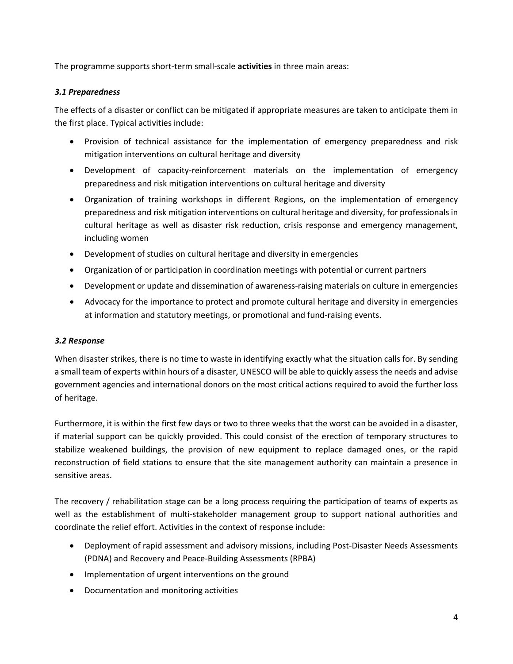The programme supports short‐term small‐scale **activities** in three main areas:

#### *3.1 Preparedness*

The effects of a disaster or conflict can be mitigated if appropriate measures are taken to anticipate them in the first place. Typical activities include: 

- Provision of technical assistance for the implementation of emergency preparedness and risk mitigation interventions on cultural heritage and diversity
- Development of capacity‐reinforcement materials on the implementation of emergency preparedness and risk mitigation interventions on cultural heritage and diversity
- Organization of training workshops in different Regions, on the implementation of emergency preparedness and risk mitigation interventions on cultural heritage and diversity, for professionals in cultural heritage as well as disaster risk reduction, crisis response and emergency management, including women
- Development of studies on cultural heritage and diversity in emergencies
- Organization of or participation in coordination meetings with potential or current partners
- Development or update and dissemination of awareness-raising materials on culture in emergencies
- Advocacy for the importance to protect and promote cultural heritage and diversity in emergencies at information and statutory meetings, or promotional and fund‐raising events.

# *3.2 Response*

When disaster strikes, there is no time to waste in identifying exactly what the situation calls for. By sending a small team of experts within hours of a disaster, UNESCO will be able to quickly assess the needs and advise government agencies and international donors on the most critical actions required to avoid the further loss of heritage.

Furthermore, it is within the first few days or two to three weeks that the worst can be avoided in a disaster, if material support can be quickly provided. This could consist of the erection of temporary structures to stabilize weakened buildings, the provision of new equipment to replace damaged ones, or the rapid reconstruction of field stations to ensure that the site management authority can maintain a presence in sensitive areas.

The recovery / rehabilitation stage can be a long process requiring the participation of teams of experts as well as the establishment of multi-stakeholder management group to support national authorities and coordinate the relief effort. Activities in the context of response include:

- Deployment of rapid assessment and advisory missions, including Post-Disaster Needs Assessments (PDNA) and Recovery and Peace‐Building Assessments (RPBA)
- Implementation of urgent interventions on the ground
- Documentation and monitoring activities